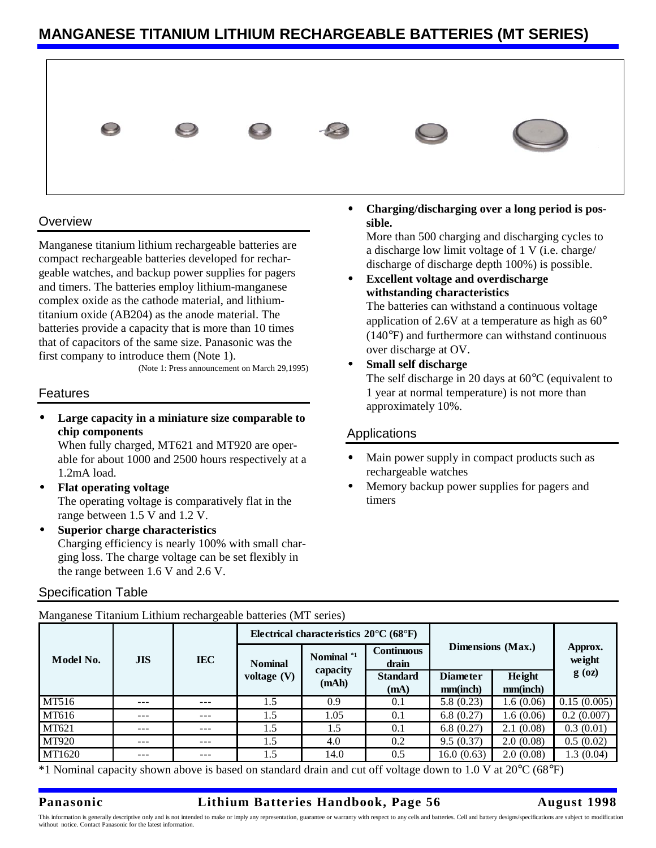# **MANGANESE TITANIUM LITHIUM RECHARGEABLE BATTERIES (MT SERIES)**



### **Overview**

Manganese titanium lithium rechargeable batteries are compact rechargeable batteries developed for rechargeable watches, and backup power supplies for pagers and timers. The batteries employ lithium-manganese complex oxide as the cathode material, and lithiumtitanium oxide (AB204) as the anode material. The batteries provide a capacity that is more than 10 times that of capacitors of the same size. Panasonic was the first company to introduce them (Note 1).

(Note 1: Press announcement on March 29,1995)

#### Features

• **Large capacity in a miniature size comparable to chip components**

When fully charged, MT621 and MT920 are operable for about 1000 and 2500 hours respectively at a 1.2mA load.

- **Flat operating voltage** The operating voltage is comparatively flat in the range between 1.5 V and 1.2 V.
- **Superior charge characteristics** Charging efficiency is nearly 100% with small charging loss. The charge voltage can be set flexibly in the range between 1.6 V and 2.6 V.

 $\mathbf{m}$  Manganese Titalium rechargeable batteries (MT series)

#### Specification Table

• **Charging/discharging over a long period is possible.**

More than 500 charging and discharging cycles to a discharge low limit voltage of 1 V (i.e. charge/ discharge of discharge depth 100%) is possible.

• **Excellent voltage and overdischarge withstanding characteristics** The batteries can withstand a continuous voltage

application of 2.6V at a temperature as high as  $60^{\circ}$ (140°F) and furthermore can withstand continuous over discharge at OV.

• **Small self discharge** The self discharge in 20 days at 60°C (equivalent to 1 year at normal temperature) is not more than approximately 10%.

### **Applications**

- Main power supply in compact products such as rechargeable watches
- Memory backup power supplies for pagers and timers

| Model No.    | <b>JIS</b> | <b>IEC</b> | Electrical characteristics $20^{\circ}$ C (68 $^{\circ}$ F) |                                 |                            |                             |                    |                               |
|--------------|------------|------------|-------------------------------------------------------------|---------------------------------|----------------------------|-----------------------------|--------------------|-------------------------------|
|              |            |            | <b>Nominal</b><br>voltage $(V)$                             | Nominal *1<br>capacity<br>(mAh) | <b>Continuous</b><br>drain | Dimensions (Max.)           |                    | Approx.<br>weight<br>$g$ (oz) |
|              |            |            |                                                             |                                 | <b>Standard</b><br>(mA)    | <b>Diameter</b><br>mm(inch) | Height<br>mm(inch) |                               |
| MT516        | $- - -$    | ---        | 1.5                                                         | 0.9                             | 0.1                        | 5.8(0.23)                   | 1.6(0.06)          | 0.15(0.005)                   |
| MT616        | ---        | ---        | 1.5                                                         | 1.05                            | 0.1                        | 6.8(0.27)                   | 1.6(0.06)          | 0.2(0.007)                    |
| MT621        | ---        | ---        | 1.5                                                         | 1.5                             | 0.1                        | 6.8(0.27)                   | 2.1(0.08)          | 0.3(0.01)                     |
| <b>MT920</b> | $- - -$    | ---        | 1.5                                                         | 4.0                             | 0.2                        | 9.5(0.37)                   | 2.0(0.08)          | 0.5(0.02)                     |
| MT1620       | $- - -$    | ---        | 1.5                                                         | 14.0                            | 0.5                        | 16.0(0.63)                  | 2.0(0.08)          | 1.3(0.04)                     |

 $*1$  Nominal capacity shown above is based on standard drain and cut off voltage down to 1.0 V at 20 $^{\circ}$ C (68 $^{\circ}$ F)

### **Panasonic Lithium Batteries Handbook, Page 56 August 1998**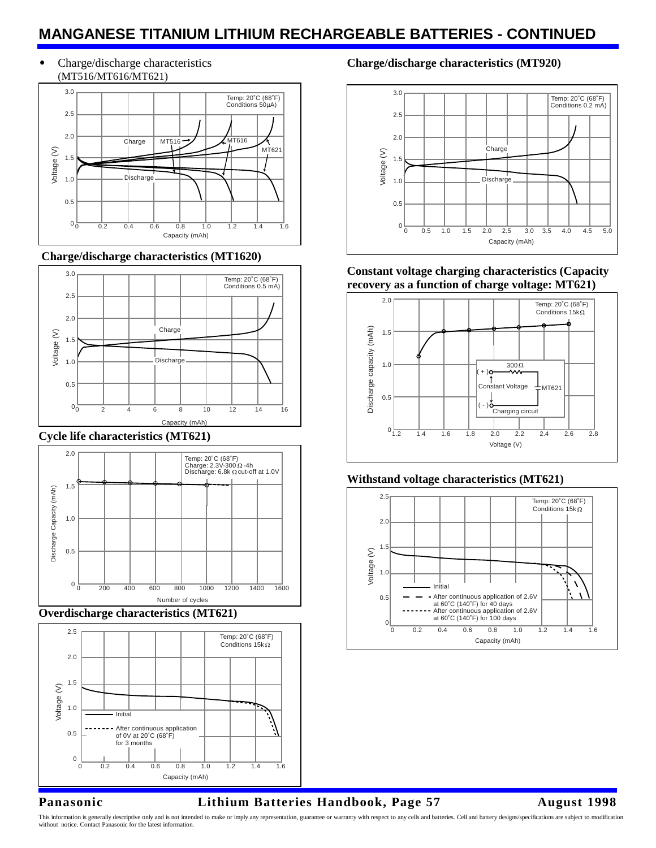# **MANGANESE TITANIUM LITHIUM RECHARGEABLE BATTERIES - CONTINUED**

• Charge/discharge characteristics (MT516/MT616/MT621)



 **Charge/discharge characteristics (MT1620)**



#### **Cycle life characteristics (MT621)**



**Overdischarge characteristics (MT621)**



## **Charge/discharge characteristics (MT920)**



**Constant voltage charging characteristics (Capacity recovery as a function of charge voltage: MT621)**



# **Withstand voltage characteristics (MT621)**



# **Panasonic Lithium Batteries Handbook, Page 57 August 1998**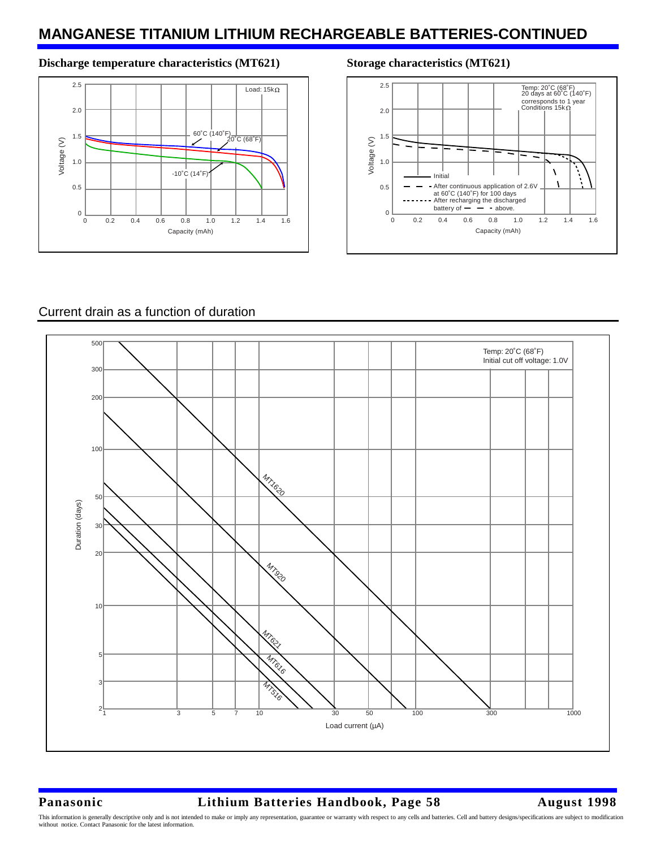# **MANGANESE TITANIUM LITHIUM RECHARGEABLE BATTERIES-CONTINUED**

#### Discharge temperature characteristics (MT621) Storage characteristics (MT621)





## Current drain as a function of duration



## **Panasonic Lithium Batteries Handbook, Page 58 August 1998**